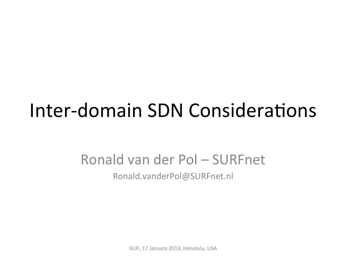#### Inter-domain SDN Considerations

#### Ronald van der Pol – SURFnet

Ronald.vanderPol@SURFnet.nl

GLIF, 17 January 2013, Honolulu, USA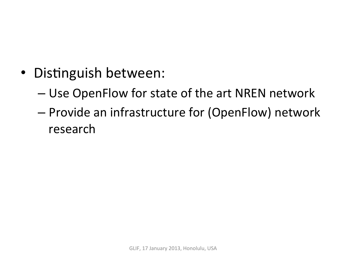- Distinguish between:
	- Use OpenFlow for state of the art NREN network
	- $-$  Provide an infrastructure for (OpenFlow) network research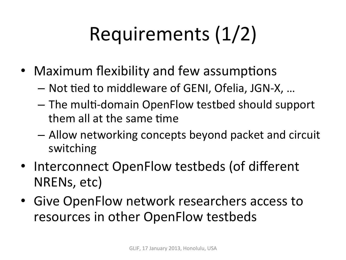# Requirements (1/2)

- Maximum flexibility and few assumptions
	- $-$  Not tied to middleware of GENI, Ofelia, JGN-X, ...
	- $-$  The multi-domain OpenFlow testbed should support them all at the same time
	- $-$  Allow networking concepts beyond packet and circuit switching
- Interconnect OpenFlow testbeds (of different NRENs, etc)
- Give OpenFlow network researchers access to resources in other OpenFlow testbeds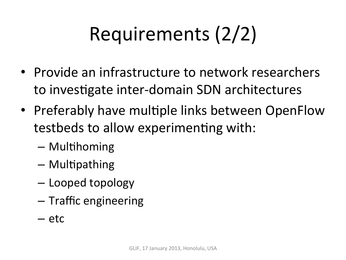# Requirements (2/2)

- Provide an infrastructure to network researchers to investigate inter-domain SDN architectures
- Preferably have multiple links between OpenFlow testbeds to allow experimenting with:
	- $-$  Multihoming
	- $-$  Multipathing
	- Looped topology
	- Traffic engineering
	- etc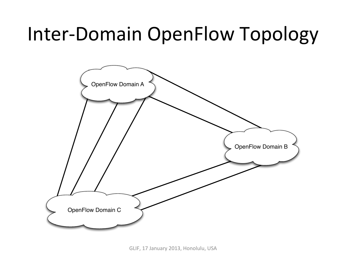#### Inter-Domain OpenFlow Topology

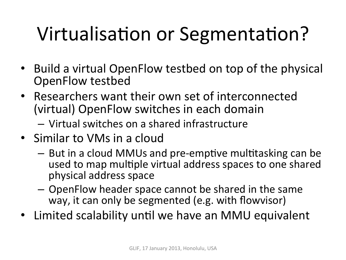## Virtualisation or Segmentation?

- Build a virtual OpenFlow testbed on top of the physical OpenFlow testbed
- Researchers want their own set of interconnected (virtual) OpenFlow switches in each domain
	- Virtual switches on a shared infrastructure
- Similar to VMs in a cloud
	- $-$  But in a cloud MMUs and pre-emptive multitasking can be used to map multiple virtual address spaces to one shared physical address space
	- $-$  OpenFlow header space cannot be shared in the same way, it can only be segmented (e.g. with flowvisor)
- Limited scalability until we have an MMU equivalent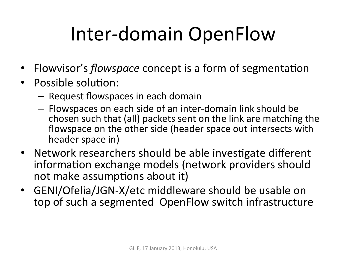## Inter-domain OpenFlow

- Flowvisor's *flowspace* concept is a form of segmentation
- Possible solution:
	- $-$  Request flowspaces in each domain
	- $-$  Flowspaces on each side of an inter-domain link should be chosen such that (all) packets sent on the link are matching the flowspace on the other side (header space out intersects with header space in)
- Network researchers should be able investigate different information exchange models (network providers should not make assumptions about it)
- GENI/Ofelia/JGN-X/etc middleware should be usable on top of such a segmented OpenFlow switch infrastructure